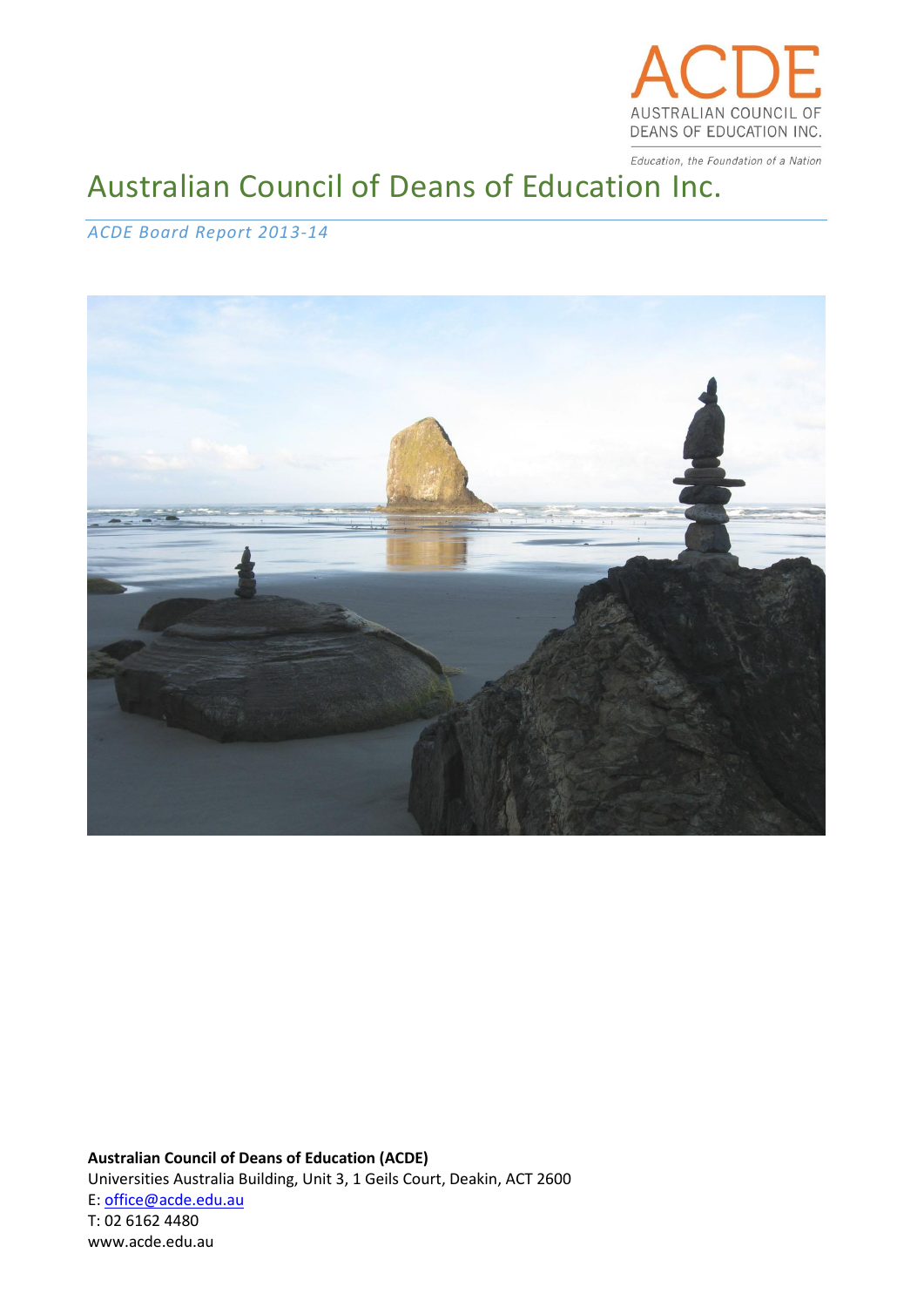

Education, the Foundation of a Nation

# Australian Council of Deans of Education Inc.

## *ACDE Board Report 2013-14*



**Australian Council of Deans of Education (ACDE)** Universities Australia Building, Unit 3, 1 Geils Court, Deakin, ACT 2600 E: [office@acde.edu.au](mailto:office@acde.edu.au) T: 02 6162 4480 www.acde.edu.au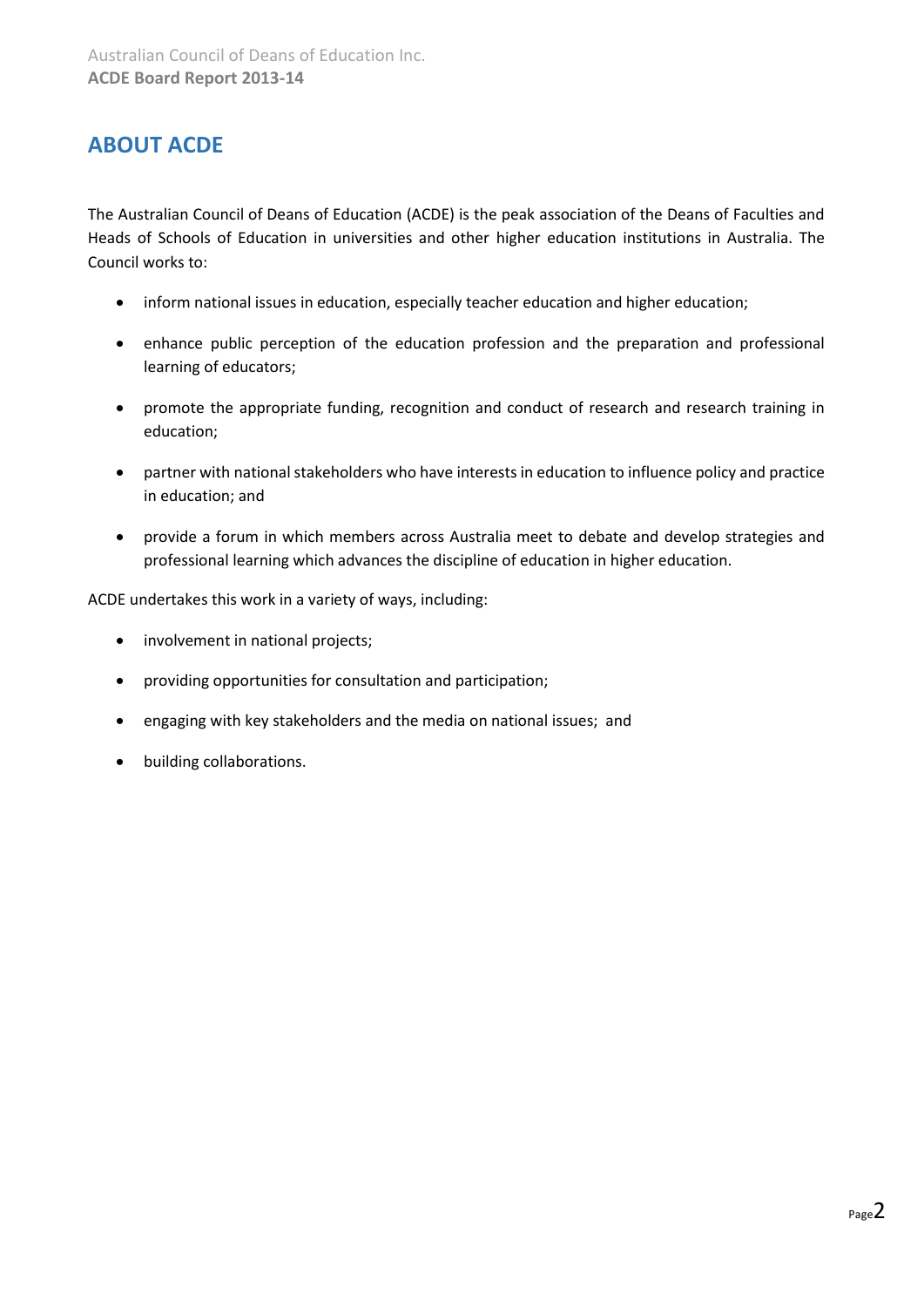## <span id="page-1-0"></span>**ABOUT ACDE**

The Australian Council of Deans of Education (ACDE) is the peak association of the Deans of Faculties and Heads of Schools of Education in universities and other higher education institutions in Australia. The Council works to:

- inform national issues in education, especially teacher education and higher education;
- enhance public perception of the education profession and the preparation and professional learning of educators;
- promote the appropriate funding, recognition and conduct of research and research training in education;
- partner with national stakeholders who have interests in education to influence policy and practice in education; and
- provide a forum in which members across Australia meet to debate and develop strategies and professional learning which advances the discipline of education in higher education.

ACDE undertakes this work in a variety of ways, including:

- involvement in national projects;
- providing opportunities for consultation and participation;
- engaging with key stakeholders and the media on national issues; and
- building collaborations.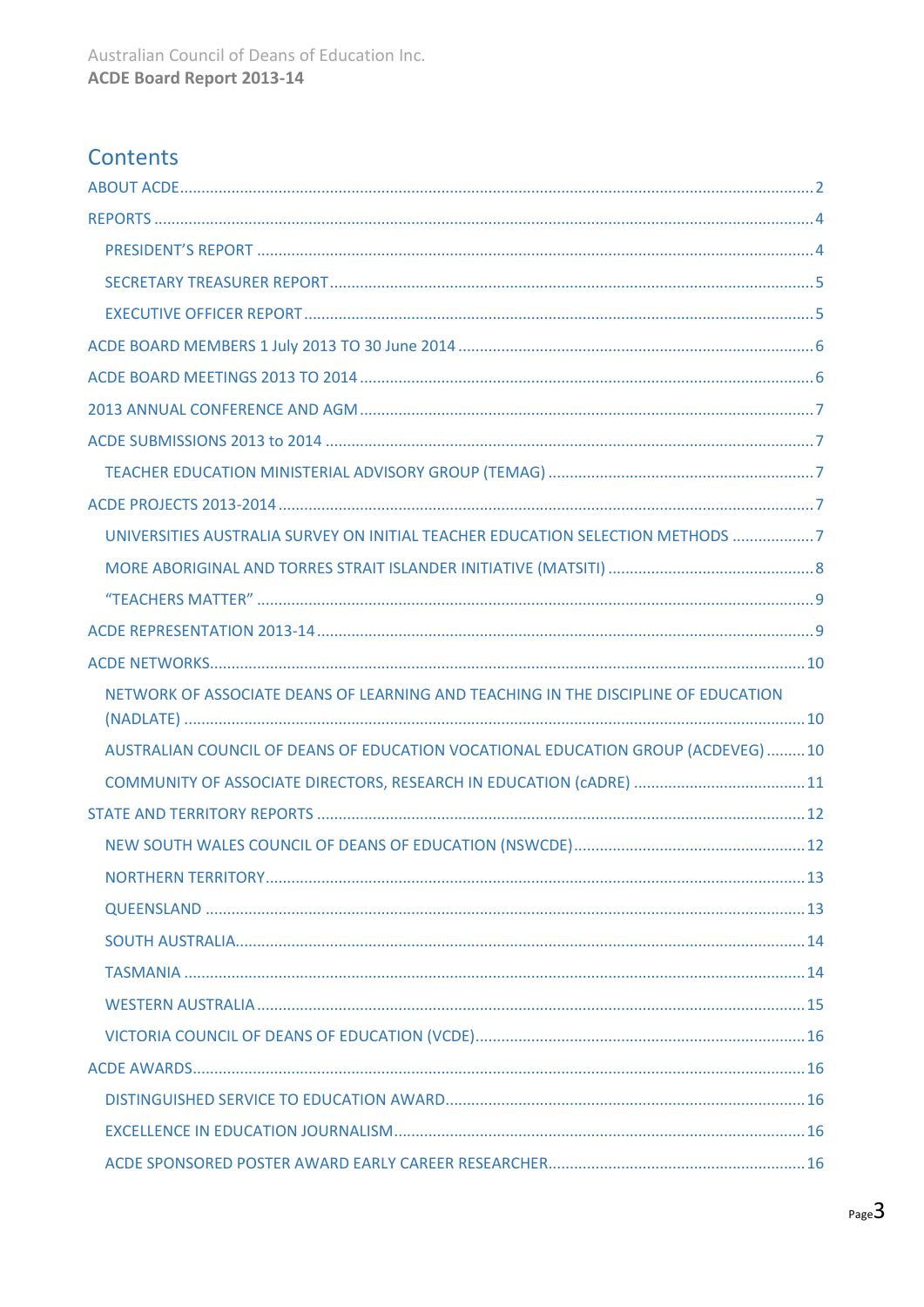## Contents

| UNIVERSITIES AUSTRALIA SURVEY ON INITIAL TEACHER EDUCATION SELECTION METHODS 7     |  |
|------------------------------------------------------------------------------------|--|
|                                                                                    |  |
|                                                                                    |  |
|                                                                                    |  |
|                                                                                    |  |
|                                                                                    |  |
| NETWORK OF ASSOCIATE DEANS OF LEARNING AND TEACHING IN THE DISCIPLINE OF EDUCATION |  |
| AUSTRALIAN COUNCIL OF DEANS OF EDUCATION VOCATIONAL EDUCATION GROUP (ACDEVEG) 10   |  |
|                                                                                    |  |
|                                                                                    |  |
|                                                                                    |  |
|                                                                                    |  |
|                                                                                    |  |
|                                                                                    |  |
|                                                                                    |  |
|                                                                                    |  |
|                                                                                    |  |
|                                                                                    |  |
|                                                                                    |  |
|                                                                                    |  |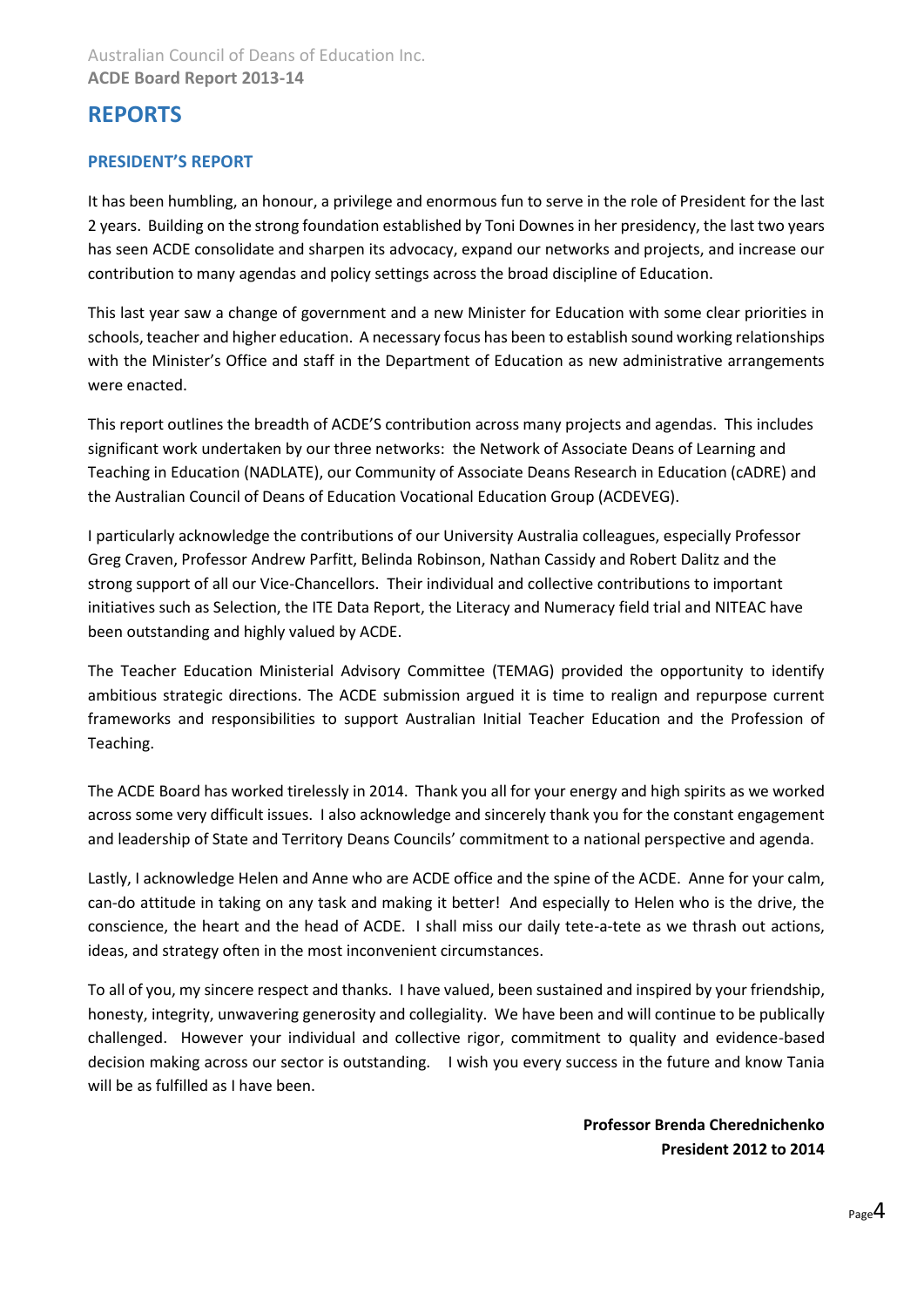## <span id="page-3-0"></span>**REPORTS**

## <span id="page-3-1"></span>**PRESIDENT'S REPORT**

It has been humbling, an honour, a privilege and enormous fun to serve in the role of President for the last 2 years. Building on the strong foundation established by Toni Downes in her presidency, the last two years has seen ACDE consolidate and sharpen its advocacy, expand our networks and projects, and increase our contribution to many agendas and policy settings across the broad discipline of Education.

This last year saw a change of government and a new Minister for Education with some clear priorities in schools, teacher and higher education. A necessary focus has been to establish sound working relationships with the Minister's Office and staff in the Department of Education as new administrative arrangements were enacted.

This report outlines the breadth of ACDE'S contribution across many projects and agendas. This includes significant work undertaken by our three networks: the Network of Associate Deans of Learning and Teaching in Education (NADLATE), our Community of Associate Deans Research in Education (cADRE) and the Australian Council of Deans of Education Vocational Education Group (ACDEVEG).

I particularly acknowledge the contributions of our University Australia colleagues, especially Professor Greg Craven, Professor Andrew Parfitt, Belinda Robinson, Nathan Cassidy and Robert Dalitz and the strong support of all our Vice-Chancellors. Their individual and collective contributions to important initiatives such as Selection, the ITE Data Report, the Literacy and Numeracy field trial and NITEAC have been outstanding and highly valued by ACDE.

The Teacher Education Ministerial Advisory Committee (TEMAG) provided the opportunity to identify ambitious strategic directions. The ACDE submission argued it is time to realign and repurpose current frameworks and responsibilities to support Australian Initial Teacher Education and the Profession of Teaching.

The ACDE Board has worked tirelessly in 2014. Thank you all for your energy and high spirits as we worked across some very difficult issues. I also acknowledge and sincerely thank you for the constant engagement and leadership of State and Territory Deans Councils' commitment to a national perspective and agenda.

Lastly, I acknowledge Helen and Anne who are ACDE office and the spine of the ACDE. Anne for your calm, can-do attitude in taking on any task and making it better! And especially to Helen who is the drive, the conscience, the heart and the head of ACDE. I shall miss our daily tete-a-tete as we thrash out actions, ideas, and strategy often in the most inconvenient circumstances.

To all of you, my sincere respect and thanks. I have valued, been sustained and inspired by your friendship, honesty, integrity, unwavering generosity and collegiality. We have been and will continue to be publically challenged. However your individual and collective rigor, commitment to quality and evidence-based decision making across our sector is outstanding. I wish you every success in the future and know Tania will be as fulfilled as I have been.

> **Professor Brenda Cherednichenko President 2012 to 2014**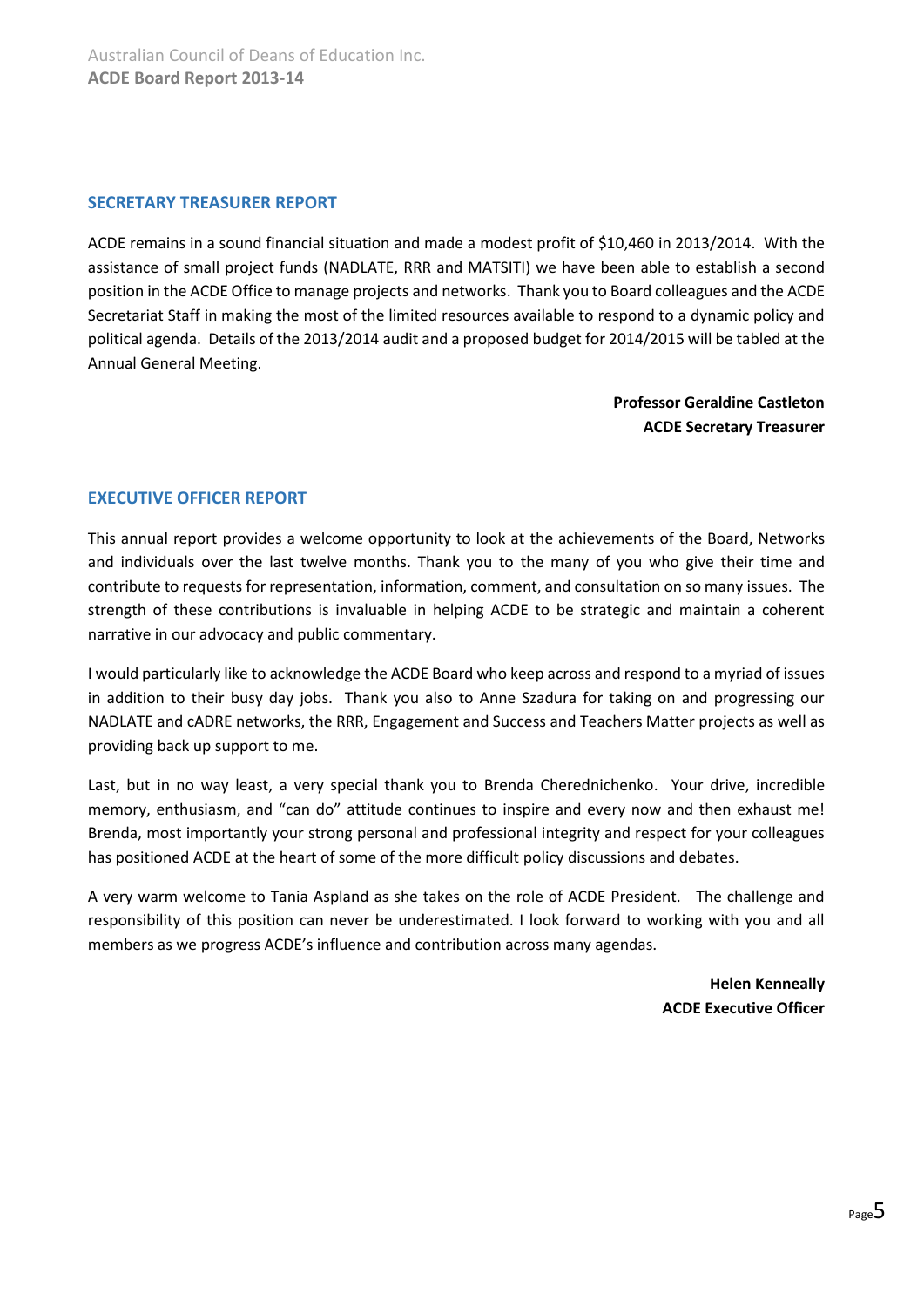### <span id="page-4-0"></span>**SECRETARY TREASURER REPORT**

ACDE remains in a sound financial situation and made a modest profit of \$10,460 in 2013/2014. With the assistance of small project funds (NADLATE, RRR and MATSITI) we have been able to establish a second position in the ACDE Office to manage projects and networks. Thank you to Board colleagues and the ACDE Secretariat Staff in making the most of the limited resources available to respond to a dynamic policy and political agenda. Details of the 2013/2014 audit and a proposed budget for 2014/2015 will be tabled at the Annual General Meeting.

> **Professor Geraldine Castleton ACDE Secretary Treasurer**

## <span id="page-4-1"></span>**EXECUTIVE OFFICER REPORT**

This annual report provides a welcome opportunity to look at the achievements of the Board, Networks and individuals over the last twelve months. Thank you to the many of you who give their time and contribute to requests for representation, information, comment, and consultation on so many issues. The strength of these contributions is invaluable in helping ACDE to be strategic and maintain a coherent narrative in our advocacy and public commentary.

I would particularly like to acknowledge the ACDE Board who keep across and respond to a myriad of issues in addition to their busy day jobs. Thank you also to Anne Szadura for taking on and progressing our NADLATE and cADRE networks, the RRR, Engagement and Success and Teachers Matter projects as well as providing back up support to me.

Last, but in no way least, a very special thank you to Brenda Cherednichenko. Your drive, incredible memory, enthusiasm, and "can do" attitude continues to inspire and every now and then exhaust me! Brenda, most importantly your strong personal and professional integrity and respect for your colleagues has positioned ACDE at the heart of some of the more difficult policy discussions and debates.

A very warm welcome to Tania Aspland as she takes on the role of ACDE President. The challenge and responsibility of this position can never be underestimated. I look forward to working with you and all members as we progress ACDE's influence and contribution across many agendas.

> **Helen Kenneally ACDE Executive Officer**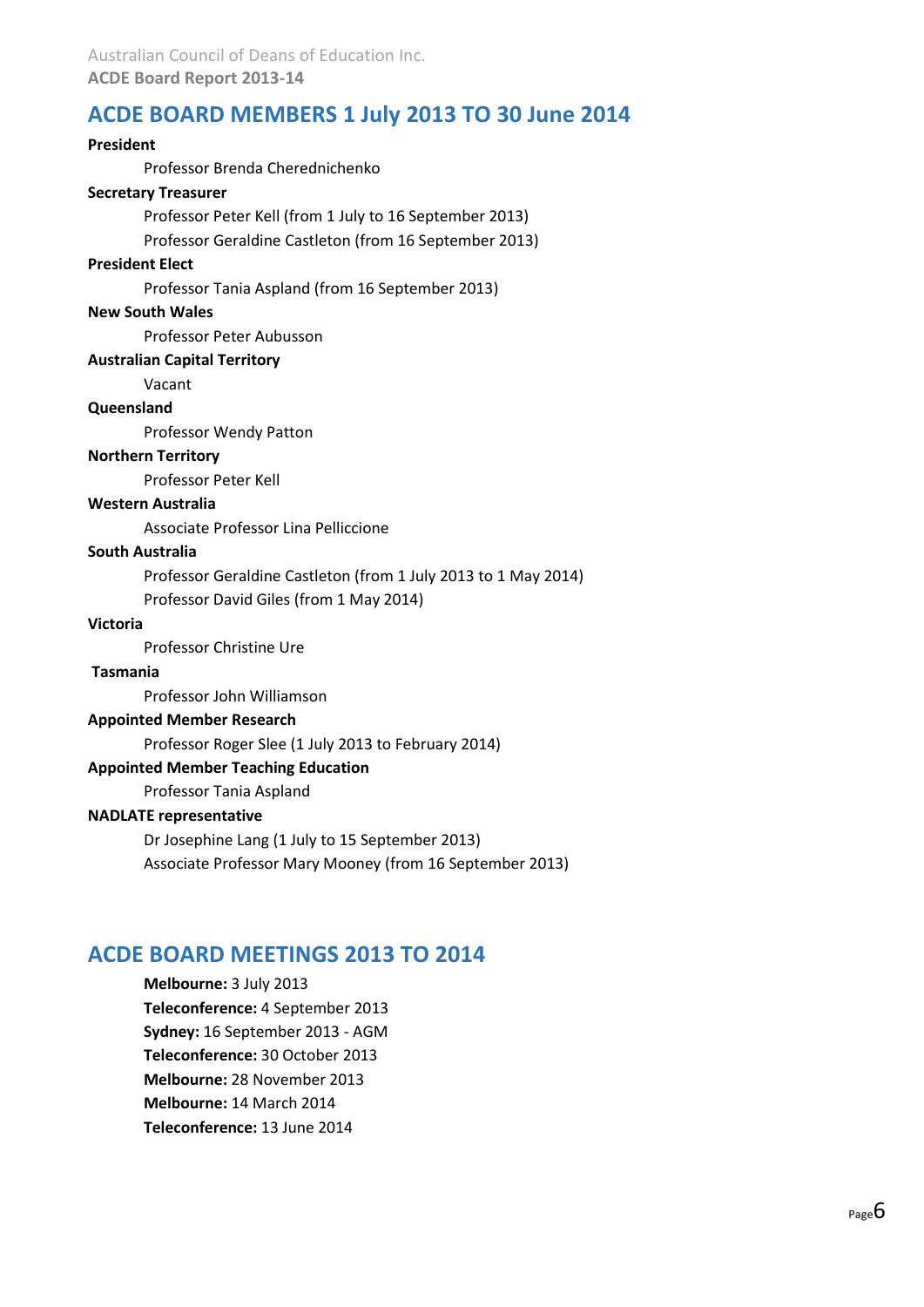## <span id="page-5-0"></span>**ACDE BOARD MEMBERS 1 July 2013 TO 30 June 2014**

## **President** Professor Brenda Cherednichenko **Secretary Treasurer** Professor Peter Kell (from 1 July to 16 September 2013) Professor Geraldine Castleton (from 16 September 2013) **President Elect** Professor Tania Aspland (from 16 September 2013) **New South Wales** Professor Peter Aubusson **Australian Capital Territory** Vacant **Queensland** Professor Wendy Patton **Northern Territory** Professor Peter Kell **Western Australia** Associate Professor Lina Pelliccione **South Australia** Professor Geraldine Castleton (from 1 July 2013 to 1 May 2014) Professor David Giles (from 1 May 2014) **Victoria** Professor Christine Ure **Tasmania** Professor John Williamson **Appointed Member Research** Professor Roger Slee (1 July 2013 to February 2014) **Appointed Member Teaching Education** Professor Tania Aspland **NADLATE representative** Dr Josephine Lang (1 July to 15 September 2013) Associate Professor Mary Mooney (from 16 September 2013)

## <span id="page-5-1"></span>**ACDE BOARD MEETINGS 2013 TO 2014**

**Melbourne:** 3 July 2013 **Teleconference:** 4 September 2013 **Sydney:** 16 September 2013 - AGM **Teleconference:** 30 October 2013 **Melbourne:** 28 November 2013 **Melbourne:** 14 March 2014 **Teleconference:** 13 June 2014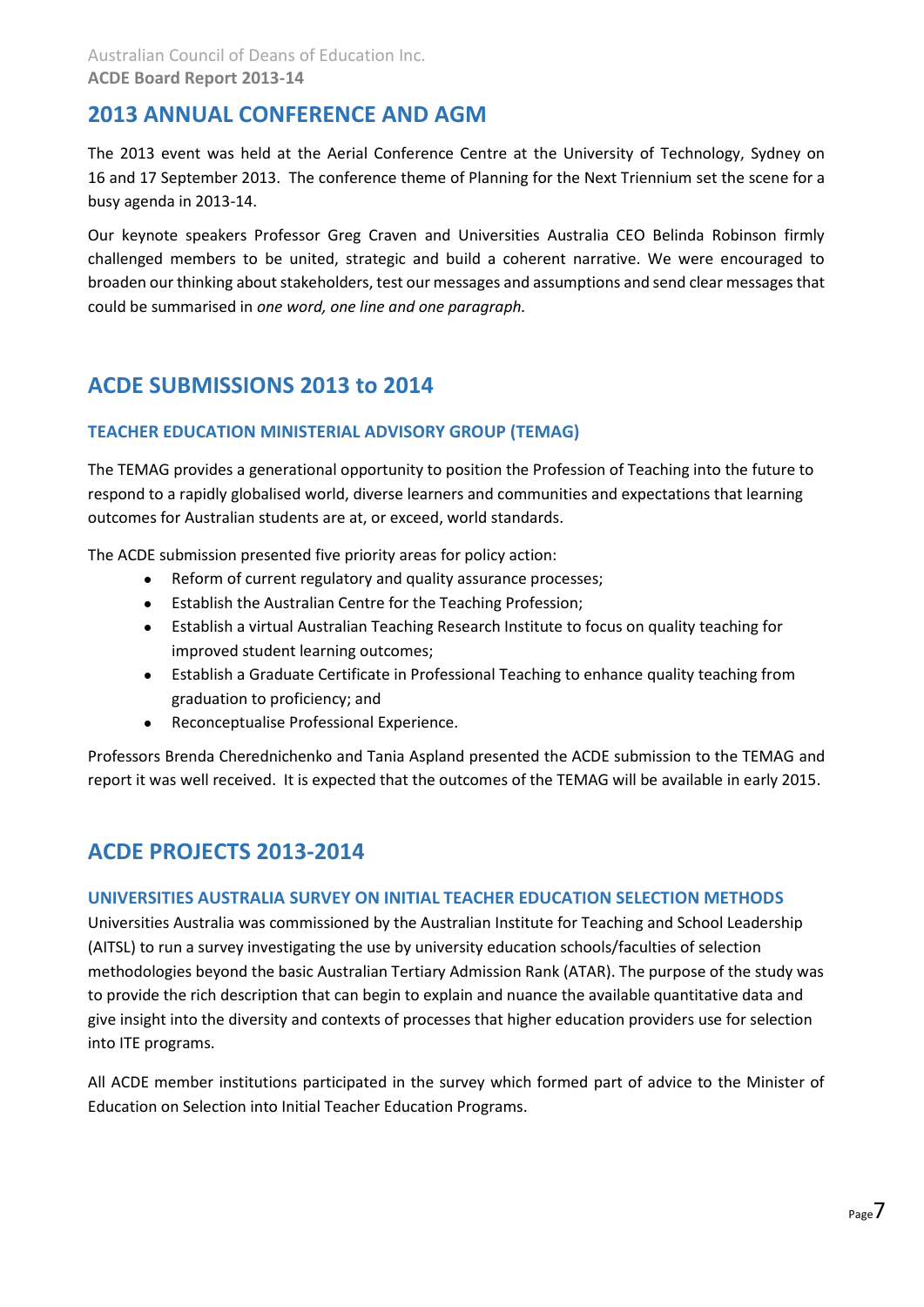## <span id="page-6-0"></span>**2013 ANNUAL CONFERENCE AND AGM**

The 2013 event was held at the Aerial Conference Centre at the University of Technology, Sydney on 16 and 17 September 2013. The conference theme of Planning for the Next Triennium set the scene for a busy agenda in 2013-14.

Our keynote speakers Professor Greg Craven and Universities Australia CEO Belinda Robinson firmly challenged members to be united, strategic and build a coherent narrative. We were encouraged to broaden our thinking about stakeholders, test our messages and assumptions and send clear messages that could be summarised in *one word, one line and one paragraph.*

## <span id="page-6-1"></span>**ACDE SUBMISSIONS 2013 to 2014**

## <span id="page-6-2"></span>**TEACHER EDUCATION MINISTERIAL ADVISORY GROUP (TEMAG)**

The TEMAG provides a generational opportunity to position the Profession of Teaching into the future to respond to a rapidly globalised world, diverse learners and communities and expectations that learning outcomes for Australian students are at, or exceed, world standards.

The ACDE submission presented five priority areas for policy action:

- Reform of current regulatory and quality assurance processes;
- Establish the Australian Centre for the Teaching Profession;
- Establish a virtual Australian Teaching Research Institute to focus on quality teaching for improved student learning outcomes;
- Establish a Graduate Certificate in Professional Teaching to enhance quality teaching from graduation to proficiency; and
- Reconceptualise Professional Experience.

Professors Brenda Cherednichenko and Tania Aspland presented the ACDE submission to the TEMAG and report it was well received. It is expected that the outcomes of the TEMAG will be available in early 2015.

## <span id="page-6-3"></span>**ACDE PROJECTS 2013-2014**

## <span id="page-6-4"></span>**UNIVERSITIES AUSTRALIA SURVEY ON INITIAL TEACHER EDUCATION SELECTION METHODS**

Universities Australia was commissioned by the Australian Institute for Teaching and School Leadership (AITSL) to run a survey investigating the use by university education schools/faculties of selection methodologies beyond the basic Australian Tertiary Admission Rank (ATAR). The purpose of the study was to provide the rich description that can begin to explain and nuance the available quantitative data and give insight into the diversity and contexts of processes that higher education providers use for selection into ITE programs.

All ACDE member institutions participated in the survey which formed part of advice to the Minister of Education on Selection into Initial Teacher Education Programs.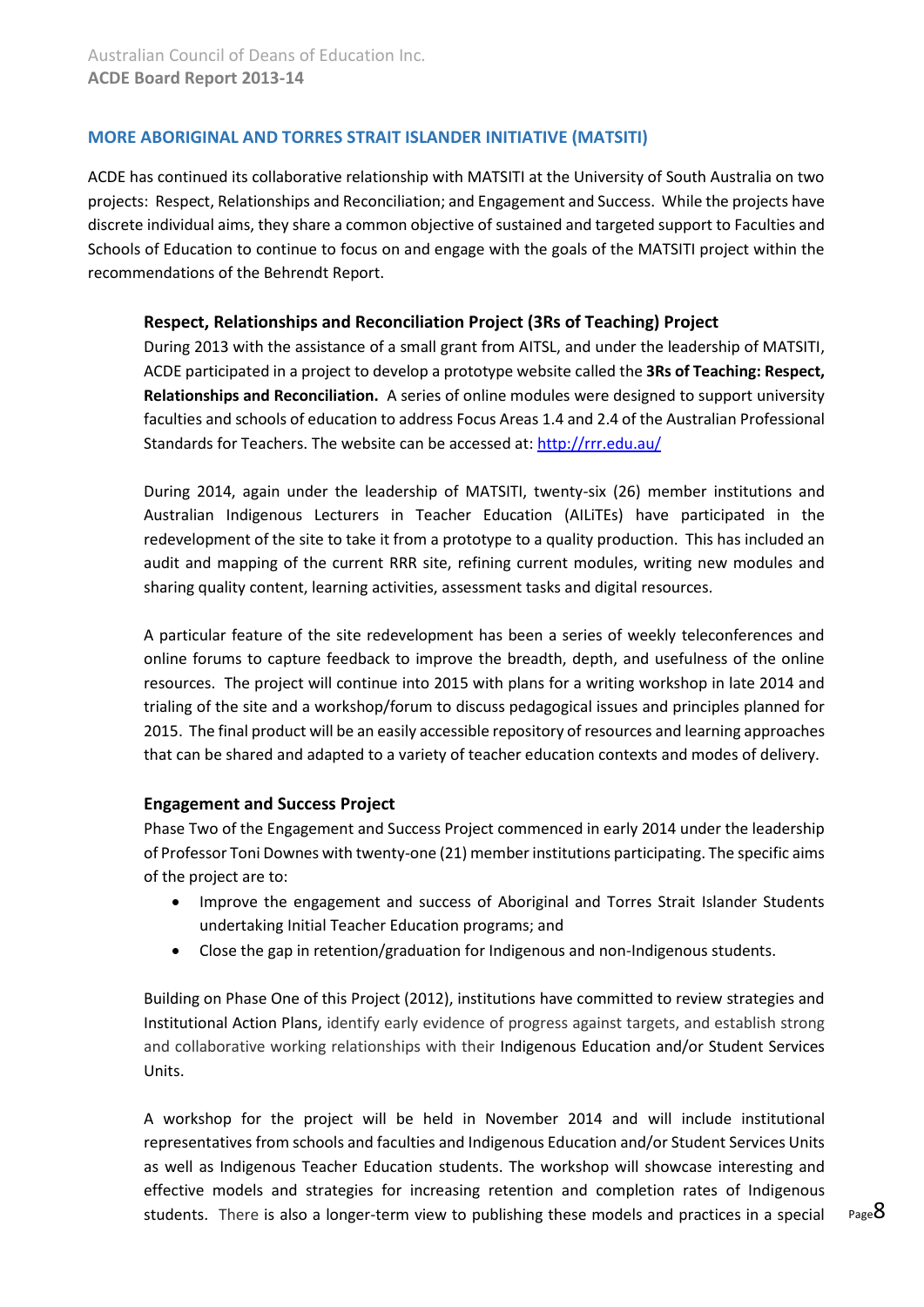## <span id="page-7-0"></span>**MORE ABORIGINAL AND TORRES STRAIT ISLANDER INITIATIVE (MATSITI)**

ACDE has continued its collaborative relationship with MATSITI at the University of South Australia on two projects: Respect, Relationships and Reconciliation; and Engagement and Success. While the projects have discrete individual aims, they share a common objective of sustained and targeted support to Faculties and Schools of Education to continue to focus on and engage with the goals of the MATSITI project within the recommendations of the Behrendt Report.

## **Respect, Relationships and Reconciliation Project (3Rs of Teaching) Project**

During 2013 with the assistance of a small grant from AITSL, and under the leadership of MATSITI, ACDE participated in a project to develop a prototype website called the **3Rs of Teaching: Respect, Relationships and Reconciliation.** A series of online modules were designed to support university faculties and schools of education to address Focus Areas 1.4 and 2.4 of the Australian Professional Standards for Teachers. The website can be accessed at:<http://rrr.edu.au/>

During 2014, again under the leadership of MATSITI, twenty-six (26) member institutions and Australian Indigenous Lecturers in Teacher Education (AILiTEs) have participated in the redevelopment of the site to take it from a prototype to a quality production. This has included an audit and mapping of the current RRR site, refining current modules, writing new modules and sharing quality content, learning activities, assessment tasks and digital resources.

A particular feature of the site redevelopment has been a series of weekly teleconferences and online forums to capture feedback to improve the breadth, depth, and usefulness of the online resources. The project will continue into 2015 with plans for a writing workshop in late 2014 and trialing of the site and a workshop/forum to discuss pedagogical issues and principles planned for 2015. The final product will be an easily accessible repository of resources and learning approaches that can be shared and adapted to a variety of teacher education contexts and modes of delivery.

## **Engagement and Success Project**

Phase Two of the Engagement and Success Project commenced in early 2014 under the leadership of Professor Toni Downes with twenty-one (21) member institutions participating. The specific aims of the project are to:

- Improve the engagement and success of Aboriginal and Torres Strait Islander Students undertaking Initial Teacher Education programs; and
- Close the gap in retention/graduation for Indigenous and non-Indigenous students.

Building on Phase One of this Project (2012), institutions have committed to review strategies and Institutional Action Plans, identify early evidence of progress against targets, and establish strong and collaborative working relationships with their Indigenous Education and/or Student Services Units.

A workshop for the project will be held in November 2014 and will include institutional representatives from schools and faculties and Indigenous Education and/or Student Services Units as well as Indigenous Teacher Education students. The workshop will showcase interesting and effective models and strategies for increasing retention and completion rates of Indigenous students. There is also a longer-term view to publishing these models and practices in a special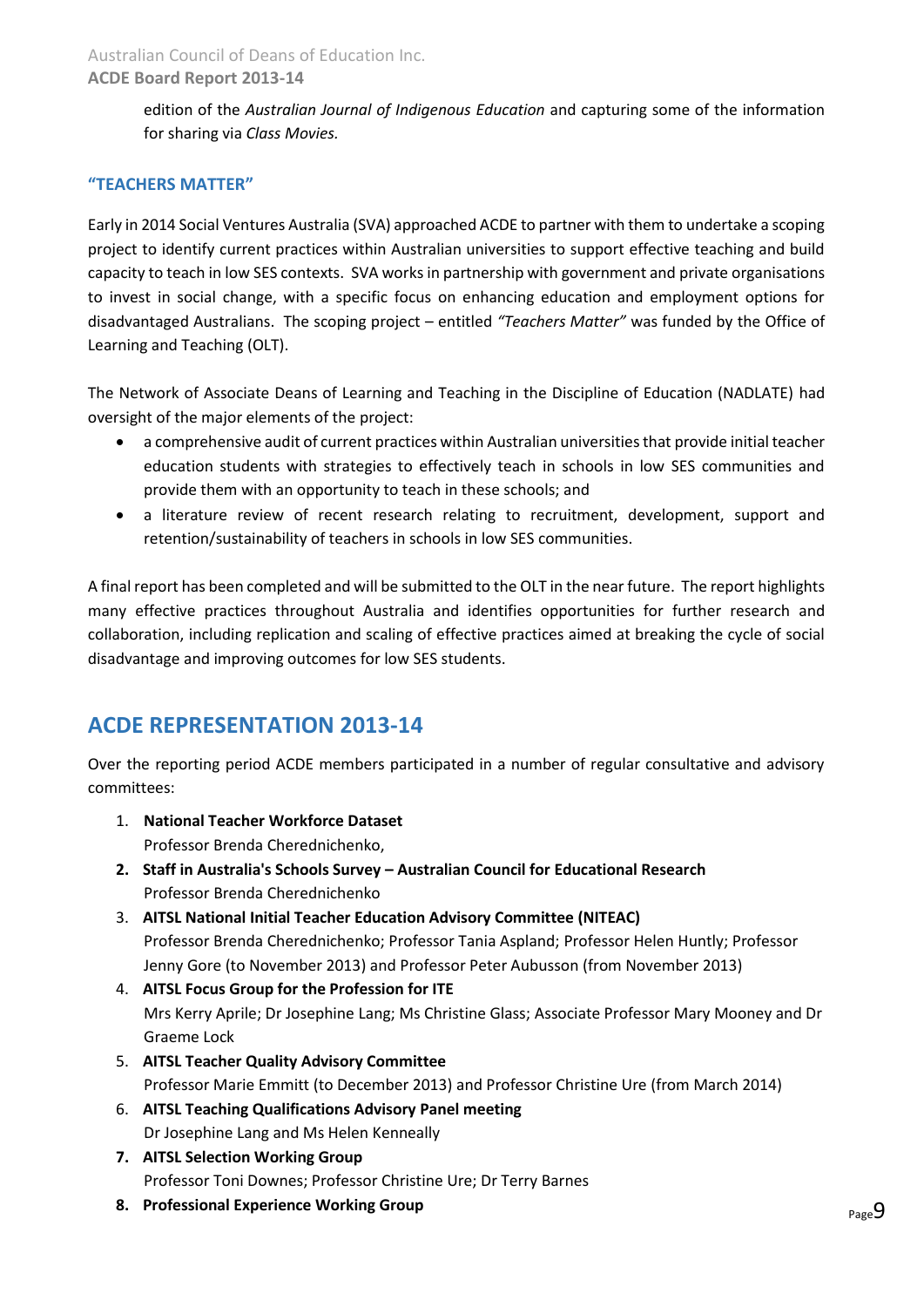## **ACDE Board Report 2013-14**

edition of the *Australian Journal of Indigenous Education* and capturing some of the information for sharing via *Class Movies.*

## <span id="page-8-0"></span>**"TEACHERS MATTER"**

Early in 2014 Social Ventures Australia (SVA) approached ACDE to partner with them to undertake a scoping project to identify current practices within Australian universities to support effective teaching and build capacity to teach in low SES contexts. SVA works in partnership with government and private organisations to invest in social change, with a specific focus on enhancing education and employment options for disadvantaged Australians. The scoping project – entitled *"Teachers Matter"* was funded by the Office of Learning and Teaching (OLT).

The Network of Associate Deans of Learning and Teaching in the Discipline of Education (NADLATE) had oversight of the major elements of the project:

- a comprehensive audit of current practices within Australian universities that provide initial teacher education students with strategies to effectively teach in schools in low SES communities and provide them with an opportunity to teach in these schools; and
- a literature review of recent research relating to recruitment, development, support and retention/sustainability of teachers in schools in low SES communities.

A final report has been completed and will be submitted to the OLT in the near future. The report highlights many effective practices throughout Australia and identifies opportunities for further research and collaboration, including replication and scaling of effective practices aimed at breaking the cycle of social disadvantage and improving outcomes for low SES students.

## <span id="page-8-1"></span>**ACDE REPRESENTATION 2013-14**

Over the reporting period ACDE members participated in a number of regular consultative and advisory committees:

- 1. **National Teacher Workforce Dataset**  Professor Brenda Cherednichenko,
- **2. Staff in Australia's Schools Survey – Australian Council for Educational Research** Professor Brenda Cherednichenko
- 3. **AITSL National Initial Teacher Education Advisory Committee (NITEAC)** Professor Brenda Cherednichenko; Professor Tania Aspland; Professor Helen Huntly; Professor Jenny Gore (to November 2013) and Professor Peter Aubusson (from November 2013)
- 4. **AITSL Focus Group for the Profession for ITE**  Mrs Kerry Aprile; Dr Josephine Lang; Ms Christine Glass; Associate Professor Mary Mooney and Dr Graeme Lock
- 5. **AITSL Teacher Quality Advisory Committee** Professor Marie Emmitt (to December 2013) and Professor Christine Ure (from March 2014)
- 6. **AITSL Teaching Qualifications Advisory Panel meeting**  Dr Josephine Lang and Ms Helen Kenneally
- **7. AITSL Selection Working Group** Professor Toni Downes; Professor Christine Ure; Dr Terry Barnes
- **8. Professional Experience Working Group**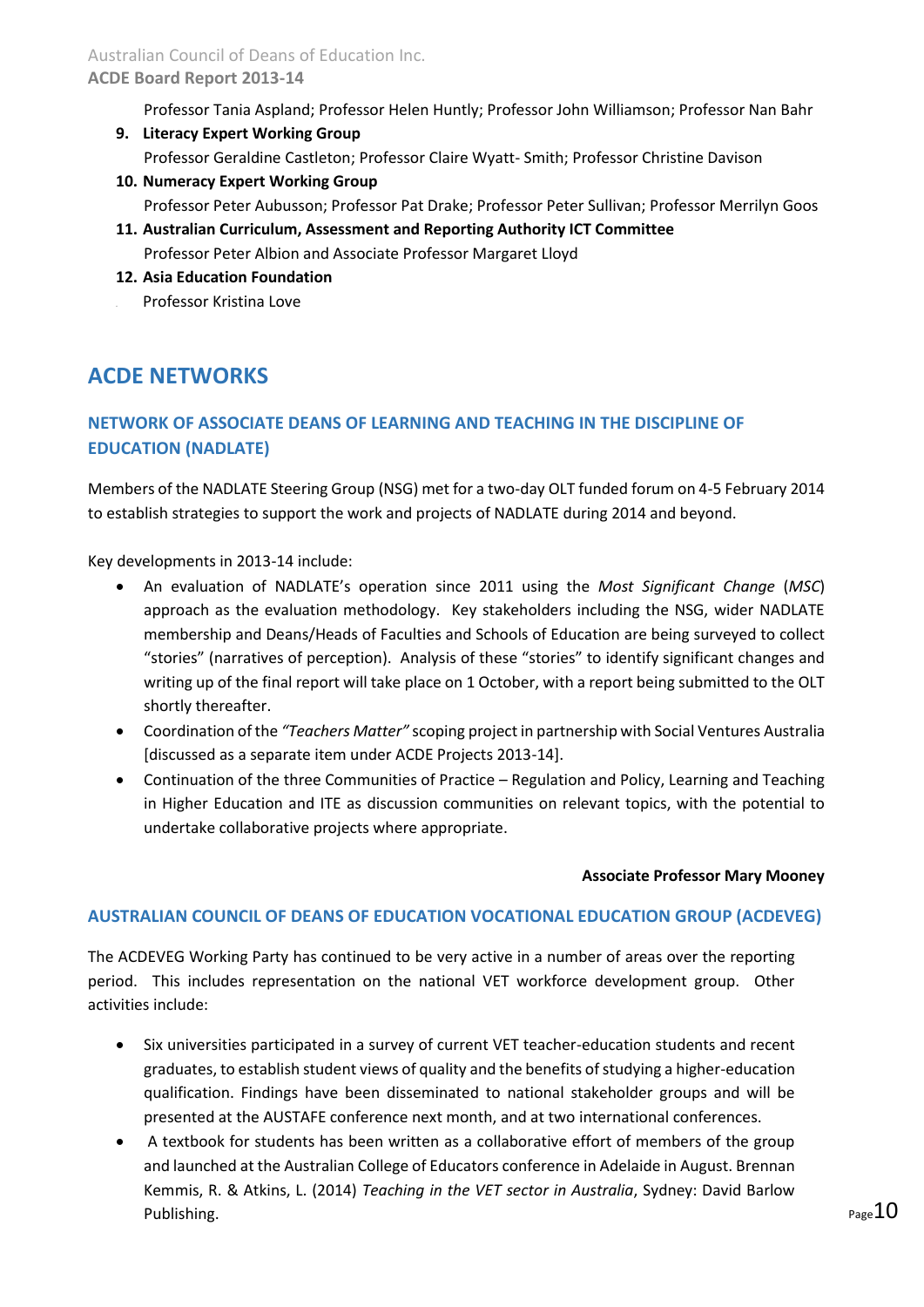## **ACDE Board Report 2013-14**

Professor Tania Aspland; Professor Helen Huntly; Professor John Williamson; Professor Nan Bahr

- **9. Literacy Expert Working Group** Professor Geraldine Castleton; Professor Claire Wyatt- Smith; Professor Christine Davison
- **10. Numeracy Expert Working Group** Professor Peter Aubusson; Professor Pat Drake; Professor Peter Sullivan; Professor Merrilyn Goos
- **11. Australian Curriculum, Assessment and Reporting Authority ICT Committee** Professor Peter Albion and Associate Professor Margaret Lloyd
- **12. Asia Education Foundation** 13. Professor Kristina Love

## <span id="page-9-0"></span>**ACDE NETWORKS**

## <span id="page-9-1"></span>**NETWORK OF ASSOCIATE DEANS OF LEARNING AND TEACHING IN THE DISCIPLINE OF EDUCATION (NADLATE)**

Members of the NADLATE Steering Group (NSG) met for a two-day OLT funded forum on 4-5 February 2014 to establish strategies to support the work and projects of NADLATE during 2014 and beyond.

Key developments in 2013-14 include:

- An evaluation of NADLATE's operation since 2011 using the *Most Significant Change* (*MSC*) approach as the evaluation methodology. Key stakeholders including the NSG, wider NADLATE membership and Deans/Heads of Faculties and Schools of Education are being surveyed to collect "stories" (narratives of perception). Analysis of these "stories" to identify significant changes and writing up of the final report will take place on 1 October, with a report being submitted to the OLT shortly thereafter.
- Coordination of the *"Teachers Matter"* scoping project in partnership with Social Ventures Australia [discussed as a separate item under ACDE Projects 2013-14].
- Continuation of the three Communities of Practice Regulation and Policy, Learning and Teaching in Higher Education and ITE as discussion communities on relevant topics, with the potential to undertake collaborative projects where appropriate.

## **Associate Professor Mary Mooney**

## <span id="page-9-2"></span>**AUSTRALIAN COUNCIL OF DEANS OF EDUCATION VOCATIONAL EDUCATION GROUP (ACDEVEG)**

The ACDEVEG Working Party has continued to be very active in a number of areas over the reporting period. This includes representation on the national VET workforce development group. Other activities include:

- Six universities participated in a survey of current VET teacher-education students and recent graduates, to establish student views of quality and the benefits of studying a higher-education qualification. Findings have been disseminated to national stakeholder groups and will be presented at the AUSTAFE conference next month, and at two international conferences.
- A textbook for students has been written as a collaborative effort of members of the group and launched at the Australian College of Educators conference in Adelaide in August. Brennan Kemmis, R. & Atkins, L. (2014) *Teaching in the VET sector in Australia*, Sydney: David Barlow Publishing.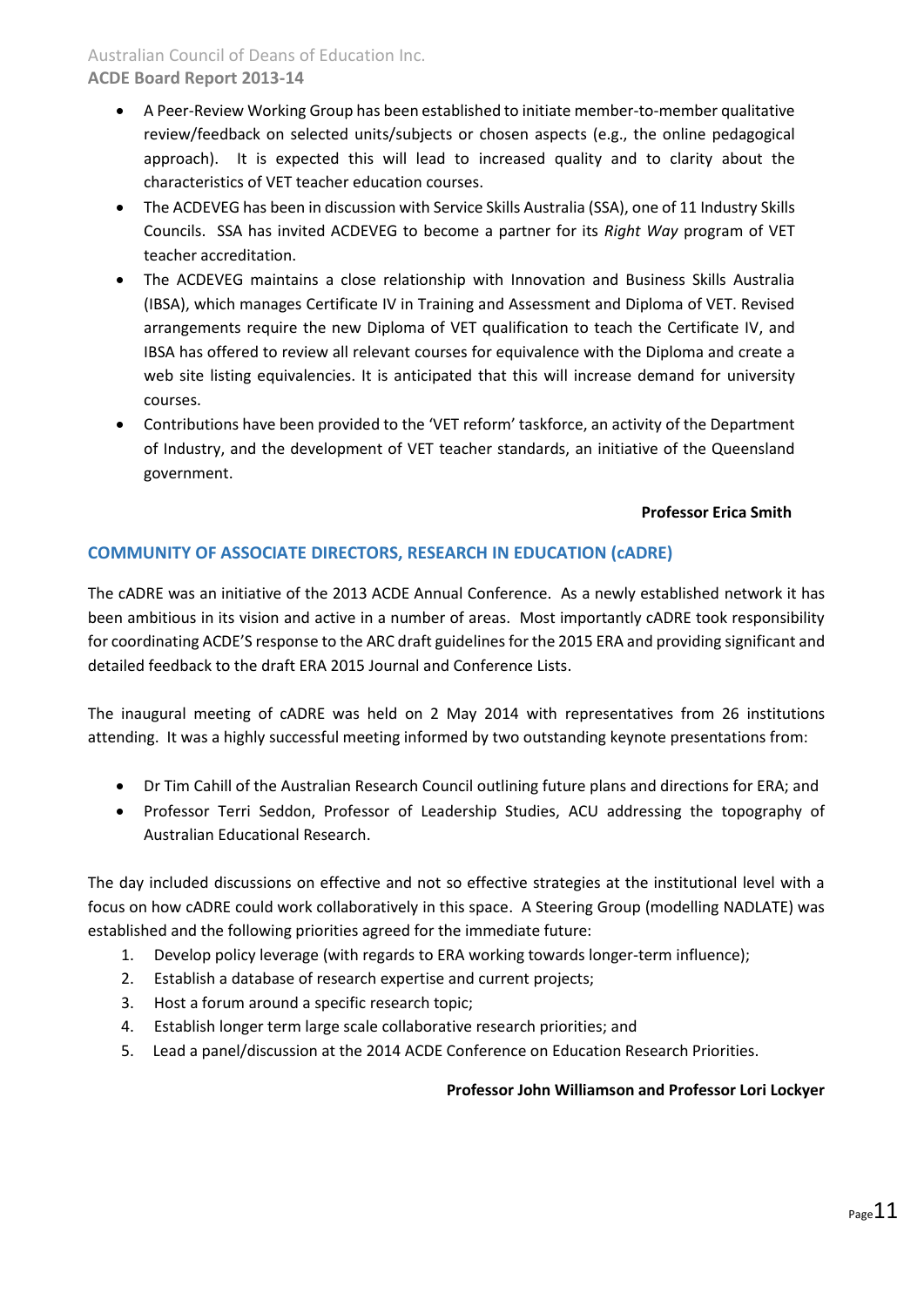## Australian Council of Deans of Education Inc.

## **ACDE Board Report 2013-14**

- A Peer-Review Working Group has been established to initiate member-to-member qualitative review/feedback on selected units/subjects or chosen aspects (e.g., the online pedagogical approach). It is expected this will lead to increased quality and to clarity about the characteristics of VET teacher education courses.
- The ACDEVEG has been in discussion with Service Skills Australia (SSA), one of 11 Industry Skills Councils. SSA has invited ACDEVEG to become a partner for its *Right Way* program of VET teacher accreditation.
- The ACDEVEG maintains a close relationship with Innovation and Business Skills Australia (IBSA), which manages Certificate IV in Training and Assessment and Diploma of VET. Revised arrangements require the new Diploma of VET qualification to teach the Certificate IV, and IBSA has offered to review all relevant courses for equivalence with the Diploma and create a web site listing equivalencies. It is anticipated that this will increase demand for university courses.
- Contributions have been provided to the 'VET reform' taskforce, an activity of the Department of Industry, and the development of VET teacher standards, an initiative of the Queensland government.

### **Professor Erica Smith**

## <span id="page-10-0"></span>**COMMUNITY OF ASSOCIATE DIRECTORS, RESEARCH IN EDUCATION (cADRE)**

The cADRE was an initiative of the 2013 ACDE Annual Conference. As a newly established network it has been ambitious in its vision and active in a number of areas. Most importantly cADRE took responsibility for coordinating ACDE'S response to the ARC draft guidelines for the 2015 ERA and providing significant and detailed feedback to the draft ERA 2015 Journal and Conference Lists.

The inaugural meeting of cADRE was held on 2 May 2014 with representatives from 26 institutions attending. It was a highly successful meeting informed by two outstanding keynote presentations from:

- Dr Tim Cahill of the Australian Research Council outlining future plans and directions for ERA; and
- Professor Terri Seddon, Professor of Leadership Studies, ACU addressing the topography of Australian Educational Research.

The day included discussions on effective and not so effective strategies at the institutional level with a focus on how cADRE could work collaboratively in this space. A Steering Group (modelling NADLATE) was established and the following priorities agreed for the immediate future:

- 1. Develop policy leverage (with regards to ERA working towards longer-term influence);
- 2. Establish a database of research expertise and current projects;
- 3. Host a forum around a specific research topic;
- 4. Establish longer term large scale collaborative research priorities; and
- 5. Lead a panel/discussion at the 2014 ACDE Conference on Education Research Priorities.

## **Professor John Williamson and Professor Lori Lockyer**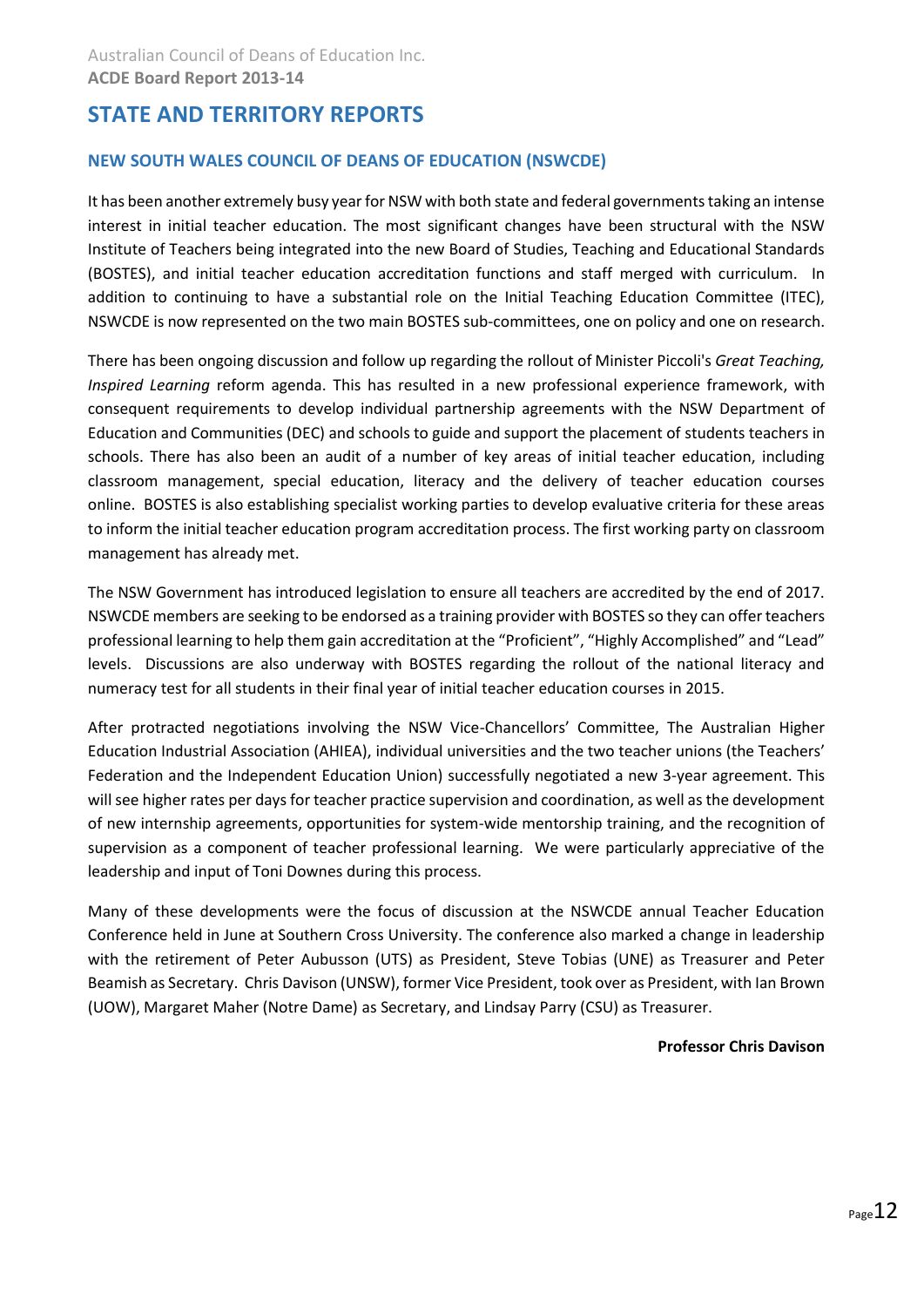## <span id="page-11-0"></span>**STATE AND TERRITORY REPORTS**

## <span id="page-11-1"></span>**NEW SOUTH WALES COUNCIL OF DEANS OF EDUCATION (NSWCDE)**

It has been another extremely busy year for NSW with both state and federal governments taking an intense interest in initial teacher education. The most significant changes have been structural with the NSW Institute of Teachers being integrated into the new Board of Studies, Teaching and Educational Standards (BOSTES), and initial teacher education accreditation functions and staff merged with curriculum. In addition to continuing to have a substantial role on the Initial Teaching Education Committee (ITEC), NSWCDE is now represented on the two main BOSTES sub-committees, one on policy and one on research.

There has been ongoing discussion and follow up regarding the rollout of Minister Piccoli's *Great Teaching, Inspired Learning* reform agenda. This has resulted in a new professional experience framework, with consequent requirements to develop individual partnership agreements with the NSW Department of Education and Communities (DEC) and schools to guide and support the placement of students teachers in schools. There has also been an audit of a number of key areas of initial teacher education, including classroom management, special education, literacy and the delivery of teacher education courses online. BOSTES is also establishing specialist working parties to develop evaluative criteria for these areas to inform the initial teacher education program accreditation process. The first working party on classroom management has already met.

The NSW Government has introduced legislation to ensure all teachers are accredited by the end of 2017. NSWCDE members are seeking to be endorsed as a training provider with BOSTES so they can offer teachers professional learning to help them gain accreditation at the "Proficient", "Highly Accomplished" and "Lead" levels. Discussions are also underway with BOSTES regarding the rollout of the national literacy and numeracy test for all students in their final year of initial teacher education courses in 2015.

After protracted negotiations involving the NSW Vice-Chancellors' Committee, The Australian Higher Education Industrial Association (AHIEA), individual universities and the two teacher unions (the Teachers' Federation and the Independent Education Union) successfully negotiated a new 3-year agreement. This will see higher rates per days for teacher practice supervision and coordination, as well as the development of new internship agreements, opportunities for system-wide mentorship training, and the recognition of supervision as a component of teacher professional learning. We were particularly appreciative of the leadership and input of Toni Downes during this process.

<span id="page-11-2"></span>Many of these developments were the focus of discussion at the NSWCDE annual Teacher Education Conference held in June at Southern Cross University. The conference also marked a change in leadership with the retirement of Peter Aubusson (UTS) as President, Steve Tobias (UNE) as Treasurer and Peter Beamish as Secretary. Chris Davison (UNSW), former Vice President, took over as President, with Ian Brown (UOW), Margaret Maher (Notre Dame) as Secretary, and Lindsay Parry (CSU) as Treasurer.

#### **Professor Chris Davison**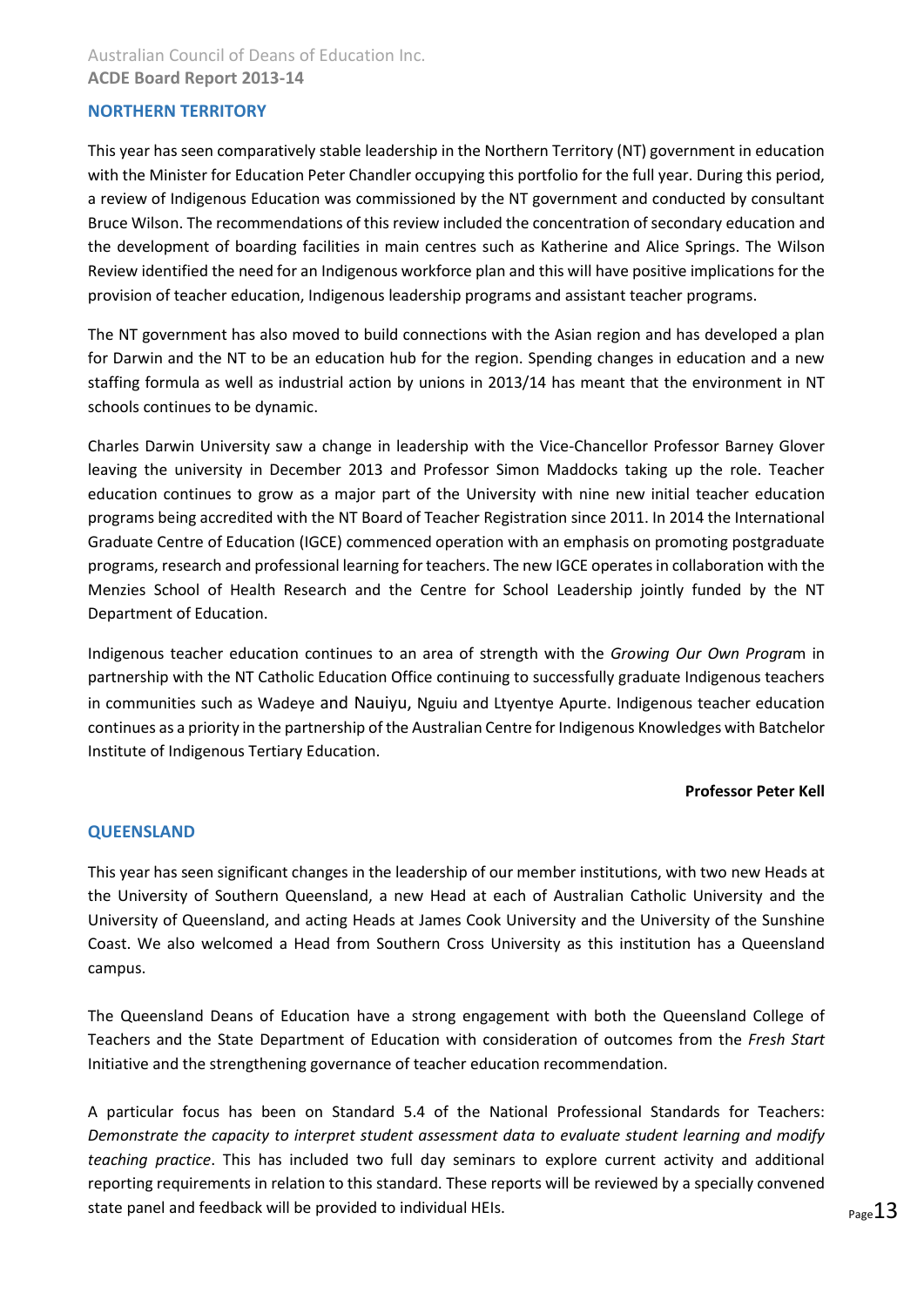## Australian Council of Deans of Education Inc. **ACDE Board Report 2013-14**

## **NORTHERN TERRITORY**

This year has seen comparatively stable leadership in the Northern Territory (NT) government in education with the Minister for Education Peter Chandler occupying this portfolio for the full year. During this period, a review of Indigenous Education was commissioned by the NT government and conducted by consultant Bruce Wilson. The recommendations of this review included the concentration of secondary education and the development of boarding facilities in main centres such as Katherine and Alice Springs. The Wilson Review identified the need for an Indigenous workforce plan and this will have positive implications for the provision of teacher education, Indigenous leadership programs and assistant teacher programs.

The NT government has also moved to build connections with the Asian region and has developed a plan for Darwin and the NT to be an education hub for the region. Spending changes in education and a new staffing formula as well as industrial action by unions in 2013/14 has meant that the environment in NT schools continues to be dynamic.

Charles Darwin University saw a change in leadership with the Vice-Chancellor Professor Barney Glover leaving the university in December 2013 and Professor Simon Maddocks taking up the role. Teacher education continues to grow as a major part of the University with nine new initial teacher education programs being accredited with the NT Board of Teacher Registration since 2011. In 2014 the International Graduate Centre of Education (IGCE) commenced operation with an emphasis on promoting postgraduate programs, research and professional learning for teachers. The new IGCE operates in collaboration with the Menzies School of Health Research and the Centre for School Leadership jointly funded by the NT Department of Education.

Indigenous teacher education continues to an area of strength with the *Growing Our Own Progra*m in partnership with the NT Catholic Education Office continuing to successfully graduate Indigenous teachers in communities such as Wadeye and Nauiyu, Nguiu and Ltyentye Apurte. Indigenous teacher education continues as a priority in the partnership of the Australian Centre for Indigenous Knowledges with Batchelor Institute of Indigenous Tertiary Education.

#### **Professor Peter Kell**

#### <span id="page-12-0"></span>**QUEENSLAND**

This year has seen significant changes in the leadership of our member institutions, with two new Heads at the University of Southern Queensland, a new Head at each of Australian Catholic University and the University of Queensland, and acting Heads at James Cook University and the University of the Sunshine Coast. We also welcomed a Head from Southern Cross University as this institution has a Queensland campus.

The Queensland Deans of Education have a strong engagement with both the Queensland College of Teachers and the State Department of Education with consideration of outcomes from the *Fresh Start* Initiative and the strengthening governance of teacher education recommendation.

A particular focus has been on Standard 5.4 of the National Professional Standards for Teachers: *Demonstrate the capacity to interpret student assessment data to evaluate student learning and modify teaching practice*. This has included two full day seminars to explore current activity and additional reporting requirements in relation to this standard. These reports will be reviewed by a specially convened state panel and feedback will be provided to individual HEIs.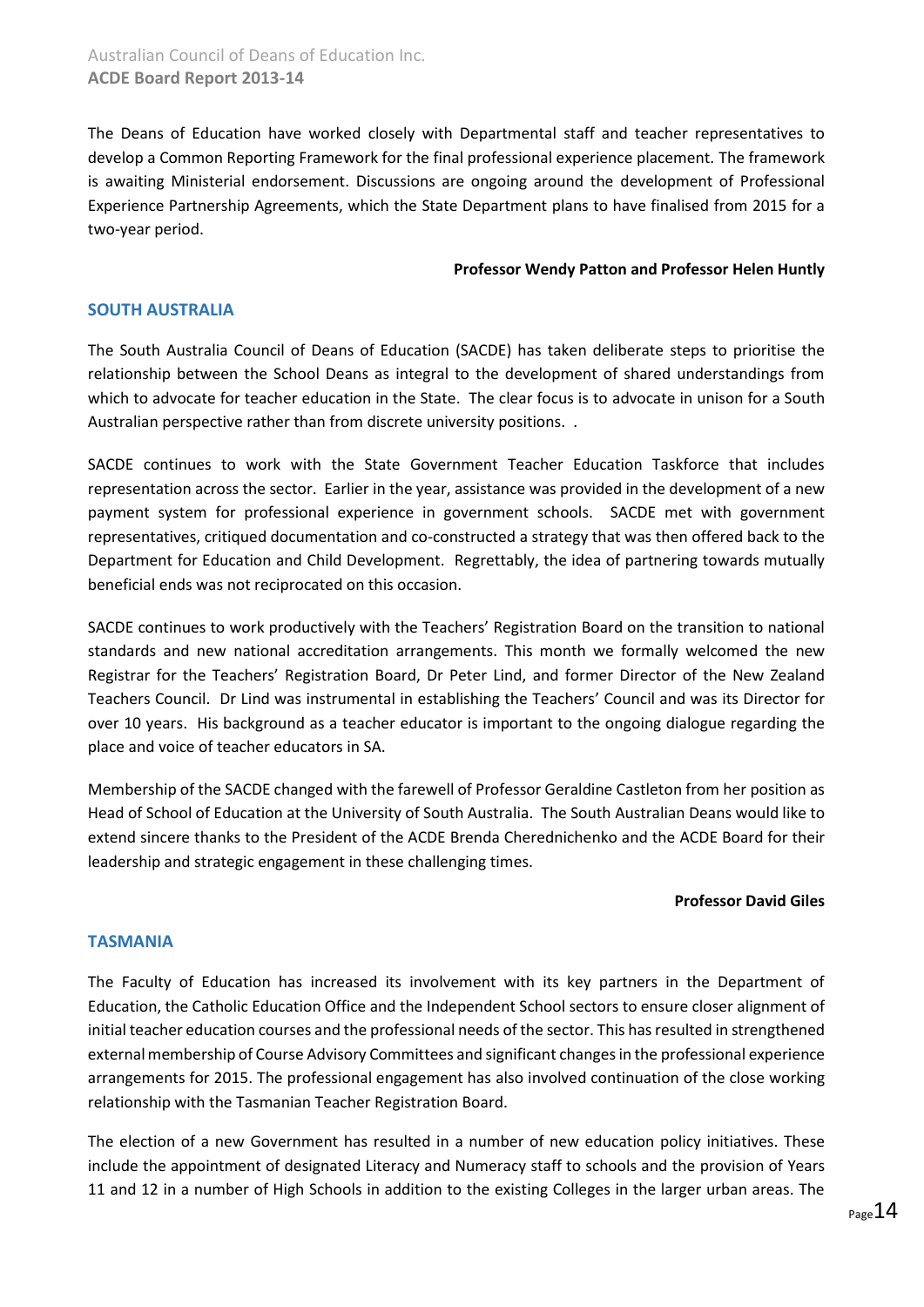The Deans of Education have worked closely with Departmental staff and teacher representatives to develop a Common Reporting Framework for the final professional experience placement. The framework is awaiting Ministerial endorsement. Discussions are ongoing around the development of Professional Experience Partnership Agreements, which the State Department plans to have finalised from 2015 for a two-year period.

#### **Professor Wendy Patton and Professor Helen Huntly**

## <span id="page-13-0"></span>**SOUTH AUSTRALIA**

The South Australia Council of Deans of Education (SACDE) has taken deliberate steps to prioritise the relationship between the School Deans as integral to the development of shared understandings from which to advocate for teacher education in the State. The clear focus is to advocate in unison for a South Australian perspective rather than from discrete university positions. .

SACDE continues to work with the State Government Teacher Education Taskforce that includes representation across the sector. Earlier in the year, assistance was provided in the development of a new payment system for professional experience in government schools. SACDE met with government representatives, critiqued documentation and co-constructed a strategy that was then offered back to the Department for Education and Child Development. Regrettably, the idea of partnering towards mutually beneficial ends was not reciprocated on this occasion.

SACDE continues to work productively with the Teachers' Registration Board on the transition to national standards and new national accreditation arrangements. This month we formally welcomed the new Registrar for the Teachers' Registration Board, Dr Peter Lind, and former Director of the New Zealand Teachers Council. Dr Lind was instrumental in establishing the Teachers' Council and was its Director for over 10 years. His background as a teacher educator is important to the ongoing dialogue regarding the place and voice of teacher educators in SA.

Membership of the SACDE changed with the farewell of Professor Geraldine Castleton from her position as Head of School of Education at the University of South Australia. The South Australian Deans would like to extend sincere thanks to the President of the ACDE Brenda Cherednichenko and the ACDE Board for their leadership and strategic engagement in these challenging times.

#### **Professor David Giles**

#### <span id="page-13-1"></span>**TASMANIA**

The Faculty of Education has increased its involvement with its key partners in the Department of Education, the Catholic Education Office and the Independent School sectors to ensure closer alignment of initial teacher education courses and the professional needs of the sector. This has resulted in strengthened external membership of Course Advisory Committees and significant changes in the professional experience arrangements for 2015. The professional engagement has also involved continuation of the close working relationship with the Tasmanian Teacher Registration Board.

The election of a new Government has resulted in a number of new education policy initiatives. These include the appointment of designated Literacy and Numeracy staff to schools and the provision of Years 11 and 12 in a number of High Schools in addition to the existing Colleges in the larger urban areas. The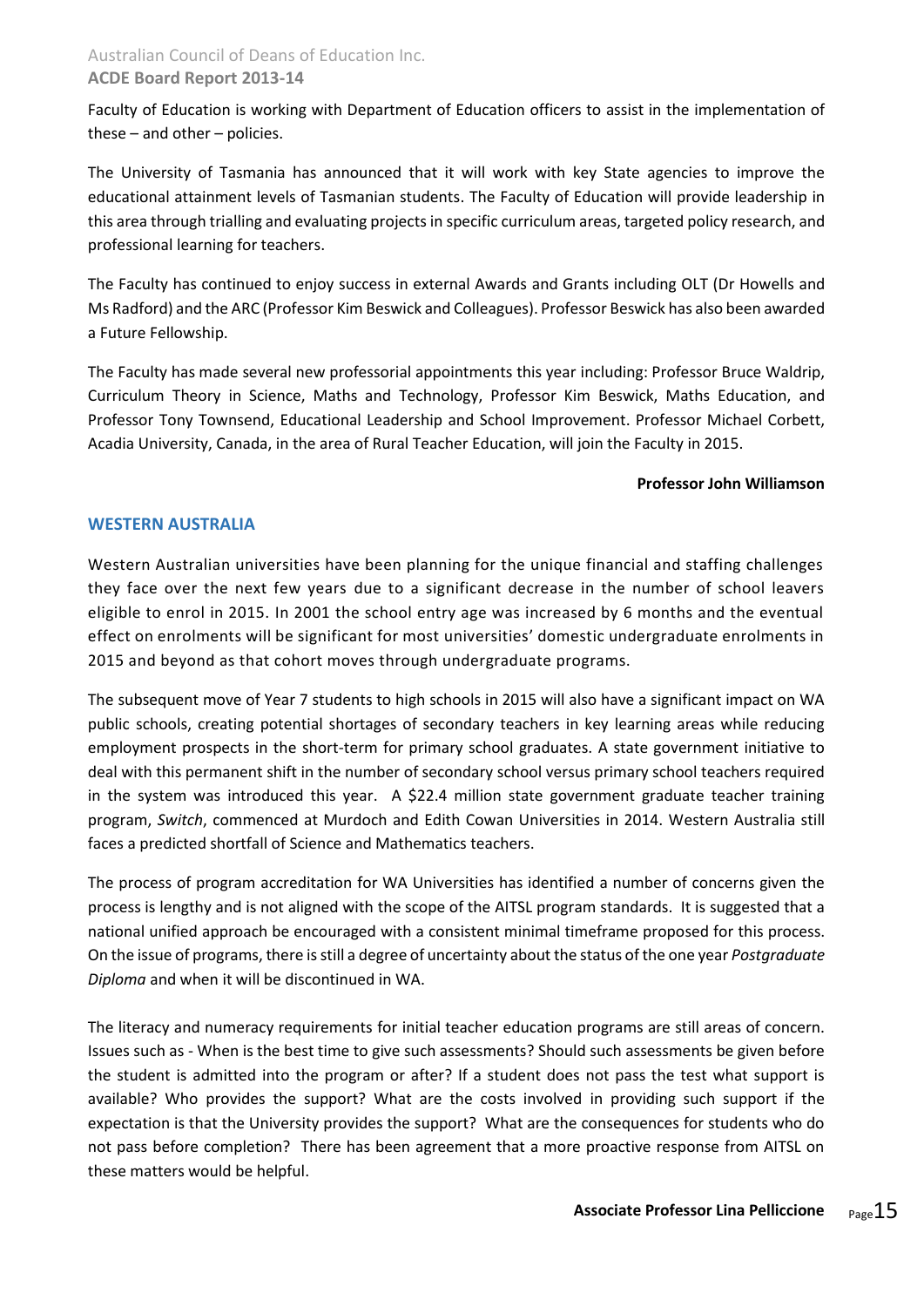## Australian Council of Deans of Education Inc. **ACDE Board Report 2013-14**

Faculty of Education is working with Department of Education officers to assist in the implementation of these – and other – policies.

The University of Tasmania has announced that it will work with key State agencies to improve the educational attainment levels of Tasmanian students. The Faculty of Education will provide leadership in this area through trialling and evaluating projects in specific curriculum areas, targeted policy research, and professional learning for teachers.

The Faculty has continued to enjoy success in external Awards and Grants including OLT (Dr Howells and Ms Radford) and the ARC (Professor Kim Beswick and Colleagues). Professor Beswick has also been awarded a Future Fellowship.

The Faculty has made several new professorial appointments this year including: Professor Bruce Waldrip, Curriculum Theory in Science, Maths and Technology, Professor Kim Beswick, Maths Education, and Professor Tony Townsend, Educational Leadership and School Improvement. Professor Michael Corbett, Acadia University, Canada, in the area of Rural Teacher Education, will join the Faculty in 2015.

### **Professor John Williamson**

## <span id="page-14-0"></span>**WESTERN AUSTRALIA**

Western Australian universities have been planning for the unique financial and staffing challenges they face over the next few years due to a significant decrease in the number of school leavers eligible to enrol in 2015. In 2001 the school entry age was increased by 6 months and the eventual effect on enrolments will be significant for most universities' domestic undergraduate enrolments in 2015 and beyond as that cohort moves through undergraduate programs.

The subsequent move of Year 7 students to high schools in 2015 will also have a significant impact on WA public schools, creating potential shortages of secondary teachers in key learning areas while reducing employment prospects in the short-term for primary school graduates. A state government initiative to deal with this permanent shift in the number of secondary school versus primary school teachers required in the system was introduced this year. A \$22.4 million state government graduate teacher training program, *Switch*, commenced at Murdoch and Edith Cowan Universities in 2014. Western Australia still faces a predicted shortfall of Science and Mathematics teachers.

The process of program accreditation for WA Universities has identified a number of concerns given the process is lengthy and is not aligned with the scope of the AITSL program standards. It is suggested that a national unified approach be encouraged with a consistent minimal timeframe proposed for this process. On the issue of programs, there is still a degree of uncertainty about the status of the one year *Postgraduate Diploma* and when it will be discontinued in WA.

The literacy and numeracy requirements for initial teacher education programs are still areas of concern. Issues such as - When is the best time to give such assessments? Should such assessments be given before the student is admitted into the program or after? If a student does not pass the test what support is available? Who provides the support? What are the costs involved in providing such support if the expectation is that the University provides the support? What are the consequences for students who do not pass before completion? There has been agreement that a more proactive response from AITSL on these matters would be helpful.